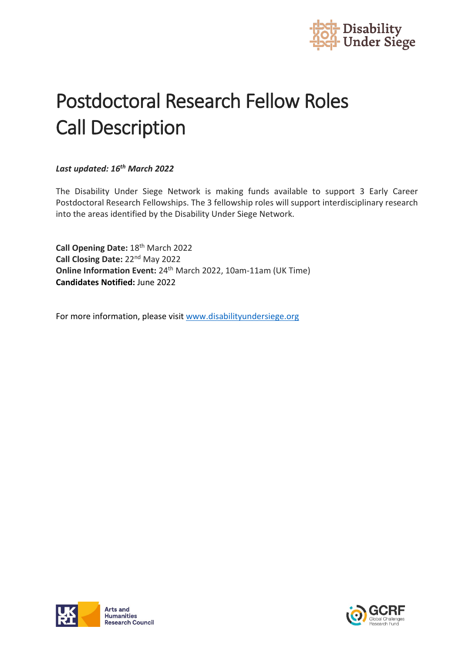

# Postdoctoral Research Fellow Roles Call Description

#### *Last updated: 16th March 2022*

The Disability Under Siege Network is making funds available to support 3 Early Career Postdoctoral Research Fellowships. The 3 fellowship roles will support interdisciplinary research into the areas identified by the Disability Under Siege Network.

**Call Opening Date:** 18th March 2022 **Call Closing Date:** 22nd May 2022 **Online Information Event:** 24th March 2022, 10am-11am (UK Time) **Candidates Notified:** June 2022

For more information, please visi[t www.disabilityundersiege.org](http://www.disabilityundersiege.org/)



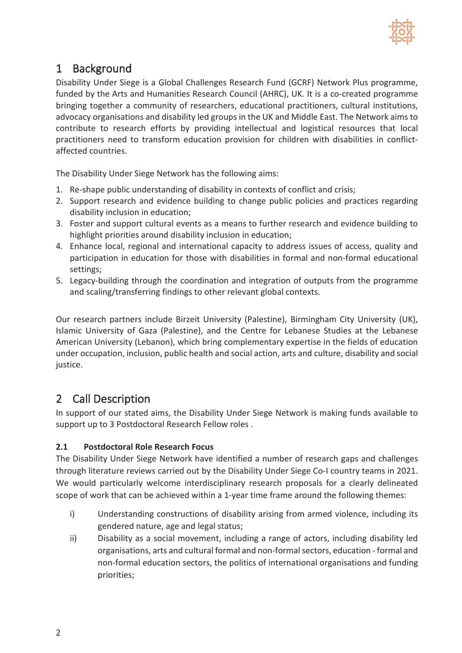

## 1 Background

Disability Under Siege is a Global Challenges Research Fund (GCRF) Network Plus programme, funded by the Arts and Humanities Research Council (AHRC), UK. It is a co-created programme bringing together a community of researchers, educational practitioners, cultural institutions, advocacy organisations and disability led groups in the UK and Middle East. The Network aims to contribute to research efforts by providing intellectual and logistical resources that local practitioners need to transform education provision for children with disabilities in conflictaffected countries.

The Disability Under Siege Network has the following aims:

- 1. Re-shape public understanding of disability in contexts of conflict and crisis;
- 2. Support research and evidence building to change public policies and practices regarding disability inclusion in education;
- 3. Foster and support cultural events as a means to further research and evidence building to highlight priorities around disability inclusion in education:
- 4. Enhance local, regional and international capacity to address issues of access, quality and participation in education for those with disabilities in formal and non-formal educational settings;
- 5. Legacy-building through the coordination and integration of outputs from the programme and scaling/transferring findings to other relevant global contexts.

Our research partners include Birzeit University (Palestine), Birmingham City University (UK), Islamic University of Gaza (Palestine), and the Centre for Lebanese Studies at the Lebanese American University (Lebanon), which bring complementary expertise in the fields of education under occupation, inclusion, public health and social action, arts and culture, disability and social justice.

# 2 Call Description

In support of our stated aims, the Disability Under Siege Network is making funds available to support up to 3 Postdoctoral Research Fellow roles .

#### **2.1 Postdoctoral Role Research Focus**

The Disability Under Siege Network have identified a number of research gaps and challenges through literature reviews carried out by the Disability Under Siege Co-I country teams in 2021. We would particularly welcome interdisciplinary research proposals for a clearly delineated scope of work that can be achieved within a 1-year time frame around the following themes:

- i) Understanding constructions of disability arising from armed violence, including its gendered nature, age and legal status;
- ii) Disability as a social movement, including a range of actors, including disability led organisations, arts and cultural formal and non-formal sectors, education - formal and non-formal education sectors, the politics of international organisations and funding priorities;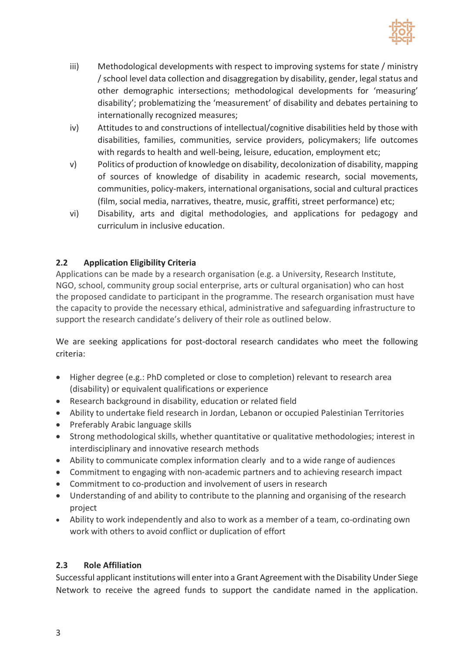

- iii) Methodological developments with respect to improving systems for state / ministry / school level data collection and disaggregation by disability, gender, legal status and other demographic intersections; methodological developments for 'measuring' disability'; problematizing the 'measurement' of disability and debates pertaining to internationally recognized measures;
- iv) Attitudes to and constructions of intellectual/cognitive disabilities held by those with disabilities, families, communities, service providers, policymakers; life outcomes with regards to health and well-being, leisure, education, employment etc;
- v) Politics of production of knowledge on disability, decolonization of disability, mapping of sources of knowledge of disability in academic research, social movements, communities, policy-makers, international organisations, social and cultural practices (film, social media, narratives, theatre, music, graffiti, street performance) etc;
- vi) Disability, arts and digital methodologies, and applications for pedagogy and curriculum in inclusive education.

#### **2.2 Application Eligibility Criteria**

Applications can be made by a research organisation (e.g. a University, Research Institute, NGO, school, community group social enterprise, arts or cultural organisation) who can host the proposed candidate to participant in the programme. The research organisation must have the capacity to provide the necessary ethical, administrative and safeguarding infrastructure to support the research candidate's delivery of their role as outlined below.

We are seeking applications for post-doctoral research candidates who meet the following criteria:

- Higher degree (e.g.: PhD completed or close to completion) relevant to research area (disability) or equivalent qualifications or experience
- Research background in disability, education or related field
- Ability to undertake field research in Jordan, Lebanon or occupied Palestinian Territories
- Preferably Arabic language skills
- Strong methodological skills, whether quantitative or qualitative methodologies; interest in interdisciplinary and innovative research methods
- Ability to communicate complex information clearly and to a wide range of audiences
- Commitment to engaging with non-academic partners and to achieving research impact
- Commitment to co-production and involvement of users in research
- Understanding of and ability to contribute to the planning and organising of the research project
- Ability to work independently and also to work as a member of a team, co-ordinating own work with others to avoid conflict or duplication of effort

#### **2.3 Role Affiliation**

Successful applicant institutions will enter into a Grant Agreement with the Disability Under Siege Network to receive the agreed funds to support the candidate named in the application.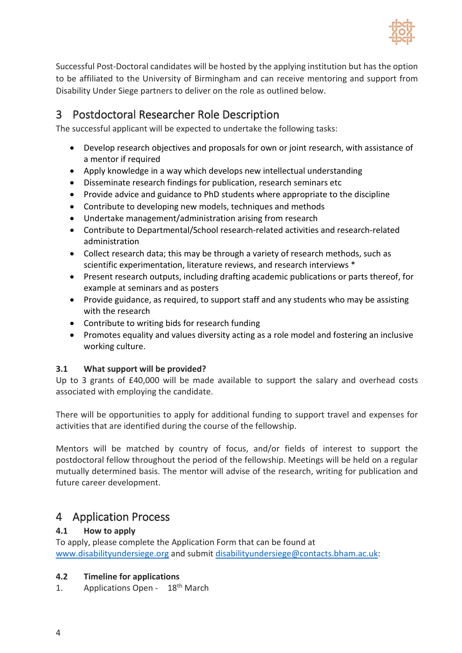

Successful Post-Doctoral candidates will be hosted by the applying institution but has the option to be affiliated to the University of Birmingham and can receive mentoring and support from Disability Under Siege partners to deliver on the role as outlined below.

## 3 Postdoctoral Researcher Role Description

The successful applicant will be expected to undertake the following tasks:

- Develop research objectives and proposals for own or joint research, with assistance of a mentor if required
- Apply knowledge in a way which develops new intellectual understanding
- Disseminate research findings for publication, research seminars etc
- Provide advice and guidance to PhD students where appropriate to the discipline
- Contribute to developing new models, techniques and methods
- Undertake management/administration arising from research
- Contribute to Departmental/School research-related activities and research-related administration
- Collect research data; this may be through a variety of research methods, such as scientific experimentation, literature reviews, and research interviews \*
- Present research outputs, including drafting academic publications or parts thereof, for example at seminars and as posters
- Provide guidance, as required, to support staff and any students who may be assisting with the research
- Contribute to writing bids for research funding
- Promotes equality and values diversity acting as a role model and fostering an inclusive working culture.

#### **3.1 What support will be provided?**

Up to 3 grants of £40,000 will be made available to support the salary and overhead costs associated with employing the candidate.

There will be opportunities to apply for additional funding to support travel and expenses for activities that are identified during the course of the fellowship.

Mentors will be matched by country of focus, and/or fields of interest to support the postdoctoral fellow throughout the period of the fellowship. Meetings will be held on a regular mutually determined basis. The mentor will advise of the research, writing for publication and future career development.

## 4 Application Process

#### **4.1 How to apply**

To apply, please complete the Application Form that can be found at [www.disabilityundersiege.org](http://www.disabilityundersiege.org/) and submi[t disabilityundersiege@contacts.bham.ac.uk:](mailto:disabilityundersiege@contacts.bham.ac.uk)

#### **4.2 Timeline for applications**

1. Applications Open - 18<sup>th</sup> March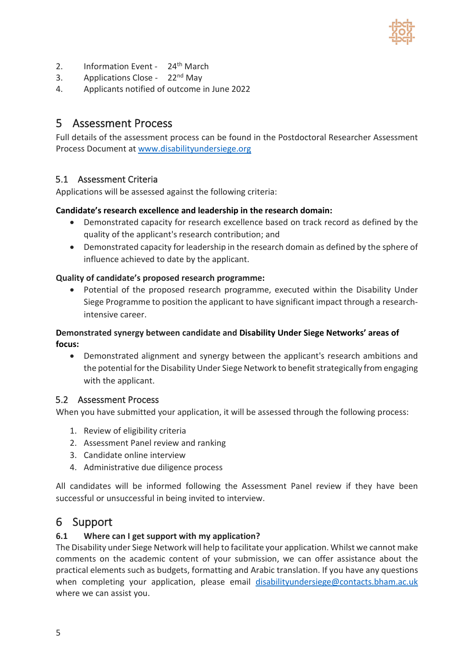

- 2. Information Event 24<sup>th</sup> March
- 3. Applications Close 22<sup>nd</sup> May
- 4. Applicants notified of outcome in June 2022

## 5 Assessment Process

Full details of the assessment process can be found in the Postdoctoral Researcher Assessment Process Document at [www.disabilityundersiege.org](http://www.disabilityundersiege.org/)

#### 5.1 Assessment Criteria

Applications will be assessed against the following criteria:

#### **[Candidate's research excellence and leadership in the research domain:](https://banting.fellowships-bourses.gc.ca/en/rev-eval_guide.html#r1)**

- Demonstrated capacity for research excellence based on track record as defined by the quality of the applicant's research contribution; and
- Demonstrated capacity for leadership in the research domain as defined by the sphere of influence achieved to date by the applicant.

#### **[Quality of candidate's proposed research programm](https://banting.fellowships-bourses.gc.ca/en/rev-eval_guide.html#r2)e:**

• Potential of the proposed research programme, executed within the Disability Under Siege Programme to position the applicant to have significant impact through a researchintensive career.

#### **Demonstrated synergy between candidate [and Disability Under Siege Networks' areas of](https://banting.fellowships-bourses.gc.ca/en/rev-eval_guide.html#r3)  [focus:](https://banting.fellowships-bourses.gc.ca/en/rev-eval_guide.html#r3)**

• Demonstrated alignment and synergy between the applicant's research ambitions and the potential for the Disability Under Siege Network to benefit strategically from engaging with the applicant.

#### 5.2 Assessment Process

When you have submitted your application, it will be assessed through the following process:

- 1. Review of eligibility criteria
- 2. Assessment Panel review and ranking
- 3. Candidate online interview
- 4. Administrative due diligence process

All candidates will be informed following the Assessment Panel review if they have been successful or unsuccessful in being invited to interview.

### 6 Support

#### **6.1 Where can I get support with my application?**

The Disability under Siege Network will help to facilitate your application. Whilst we cannot make comments on the academic content of your submission, we can offer assistance about the practical elements such as budgets, formatting and Arabic translation. If you have any questions when completing your application, please email [disabilityundersiege@contacts.bham.ac.uk](mailto:disabilityundersiege@contacts.bham.ac.uk) where we can assist you.